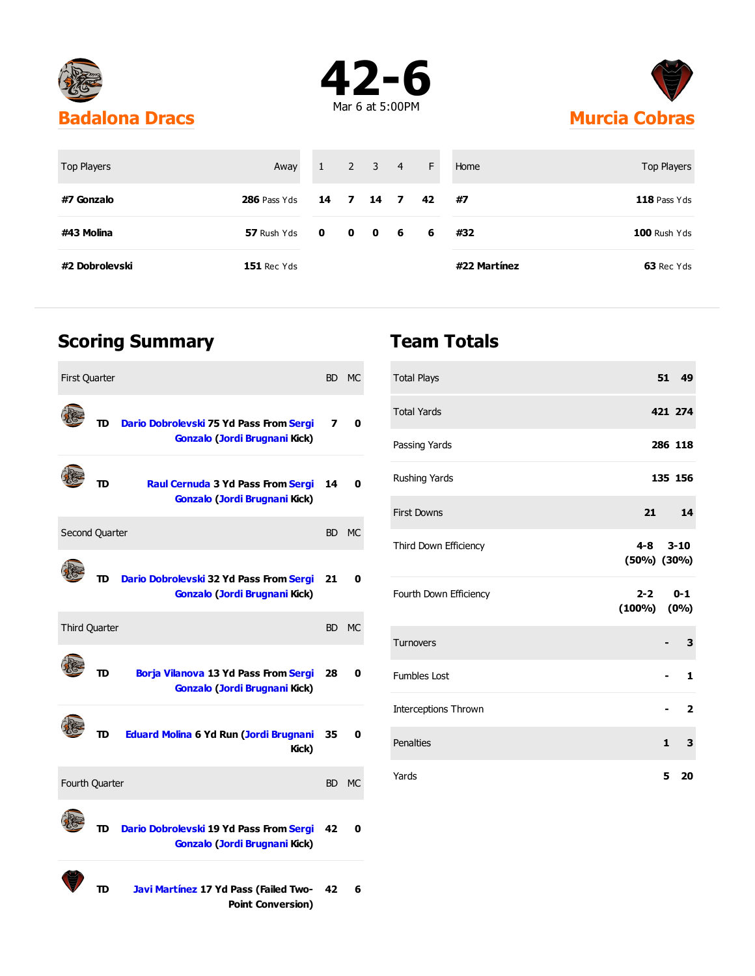





| Top Players    | Away                | $1 \quad 2 \quad 3 \quad 4$ |           | F  | Home         | Top Players    |
|----------------|---------------------|-----------------------------|-----------|----|--------------|----------------|
| #7 Gonzalo     | <b>286 Pass Yds</b> |                             | 14 7 14 7 | 42 | #7           | $118$ Pass Yds |
| #43 Molina     | 57 Rush Yds 0 0 0 6 |                             |           | 6  | #32          | $100$ Rush Yds |
| #2 Dobrolevski | <b>151 Rec Yds</b>  |                             |           |    | #22 Martínez | 63 Rec Yds     |

#### **Scoring Summary**

| <b>First Quarter</b> |    |                                                                                 | <b>BD</b> | <b>MC</b> |
|----------------------|----|---------------------------------------------------------------------------------|-----------|-----------|
|                      | סד | Dario Dobrolevski 75 Yd Pass From Sergi<br><b>Gonzalo (Jordi Brugnani Kick)</b> | 7         | 0         |
|                      | סד | Raul Cernuda 3 Yd Pass From Sergi<br><b>Gonzalo (Jordi Brugnani Kick)</b>       | 14        | 0         |
| Second Quarter       |    |                                                                                 | BD        | <b>MC</b> |
|                      | TD | Dario Dobrolevski 32 Yd Pass From Sergi<br><b>Gonzalo (Jordi Brugnani Kick)</b> | 21        | 0         |
| <b>Third Quarter</b> |    |                                                                                 | BD -      | <b>MC</b> |
|                      | m  | Borja Vilanova 13 Yd Pass From Sergi<br><b>Gonzalo (Jordi Brugnani Kick)</b>    | 28        | 0         |
|                      | סד | Eduard Molina 6 Yd Run (Jordi Brugnani<br>Kick)                                 | 35        | 0         |
| Fourth Quarter       |    |                                                                                 | BD.       | <b>MC</b> |
|                      | TD | Dario Dobrolevski 19 Yd Pass From Sergi<br><b>Gonzalo (Jordi Brugnani Kick)</b> | 42        | 0         |
|                      | TD | Javi Martínez 17 Yd Pass (Failed Two-<br><b>Point Conversion)</b>               | 42        | 6         |

### **Team Totals**

| <b>Total Plays</b>          | 51 49                             |
|-----------------------------|-----------------------------------|
| <b>Total Yards</b>          | 421 274                           |
| Passing Yards               | 286 118                           |
| Rushing Yards               | 135 156                           |
| <b>First Downs</b>          | 21<br>14                          |
| Third Down Efficiency       | $4 - 8$ 3-10<br>$(50\%)$ $(30\%)$ |
| Fourth Down Efficiency      | $2 - 2$ 0-1<br>$(100\%)$ $(0\%)$  |
| <b>Turnovers</b>            | 3                                 |
| <b>Fumbles Lost</b>         | 1                                 |
| <b>Interceptions Thrown</b> | $\overline{\mathbf{2}}$           |
| Penalties                   | $\mathbf{1}$<br>3                 |
| Yards                       | 5.<br>20                          |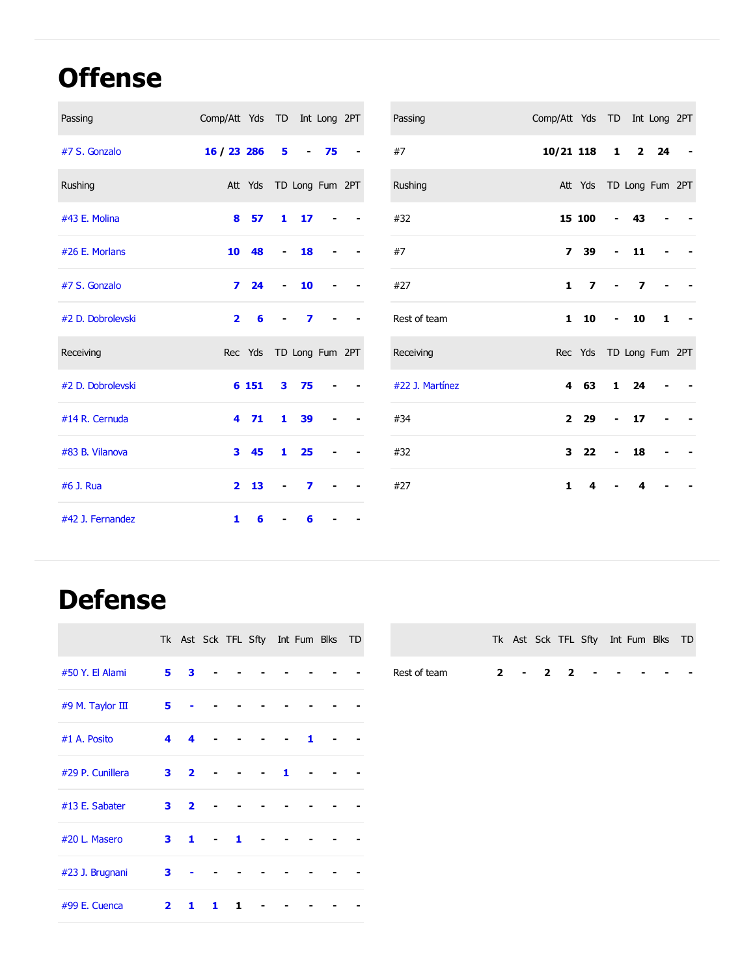## **Offense**

| Passing           | Comp/Att Yds TD Int Long 2PT |                         |                          |                         |                |                          | Passing         | Comp/Att Yds TD Int Long 2PT |                         |                          |                |              |  |
|-------------------|------------------------------|-------------------------|--------------------------|-------------------------|----------------|--------------------------|-----------------|------------------------------|-------------------------|--------------------------|----------------|--------------|--|
| #7 S. Gonzalo     | 16 / 23 286                  |                         | $5 -$                    |                         | $-75$          | $\overline{\phantom{a}}$ | #7              | 10/21 118                    |                         | $\mathbf{1}$             | $\mathbf{2}$   | 24           |  |
| Rushing           |                              | Att Yds TD Long Fum 2PT |                          |                         |                |                          | Rushing         |                              | Att Yds TD Long Fum 2PT |                          |                |              |  |
| #43 E. Molina     | 8                            | 57                      | $\mathbf{1}$             | 17                      | $\blacksquare$ |                          | #32             |                              | 15 100                  | $\blacksquare$           | 43             |              |  |
| #26 E. Morlans    | 10                           | 48                      | $\overline{\phantom{a}}$ | 18                      |                |                          | #7              | $\overline{ }$               | 39                      | $\overline{\phantom{0}}$ | 11             |              |  |
| #7 S. Gonzalo     | $\mathbf{z}$                 | 24                      | $\overline{\phantom{a}}$ | 10                      |                |                          | #27             | $\mathbf{1}$                 | $\overline{\mathbf{z}}$ | $\blacksquare$           | $\overline{z}$ |              |  |
| #2 D. Dobrolevski | $\overline{2}$               | 6                       | $\blacksquare$           | $\overline{\mathbf{z}}$ |                |                          | Rest of team    | $\mathbf{1}$                 | 10                      | $\overline{\phantom{a}}$ | 10             | $\mathbf{1}$ |  |
| Receiving         |                              | Rec Yds TD Long Fum 2PT |                          |                         |                |                          | Receiving       |                              | Rec Yds TD Long Fum 2PT |                          |                |              |  |
| #2 D. Dobrolevski |                              | 6 151                   | 3                        | 75                      |                |                          | #22 J. Martínez |                              | 4 63                    | $\mathbf{1}$             | 24             |              |  |
| #14 R. Cernuda    |                              | $4 \quad 71$            | $\mathbf{1}$             | 39                      |                |                          | #34             | $\overline{2}$               | 29                      | $\overline{\phantom{0}}$ | 17             |              |  |
| #83 B. Vilanova   | 3                            | 45                      | $\mathbf{1}$             | 25                      |                |                          | #32             | 3                            | 22                      | $\overline{\phantom{0}}$ | 18             |              |  |
| #6 J. Rua         | $\overline{2}$               | 13                      | $\overline{\phantom{a}}$ | $\overline{\mathbf{z}}$ |                |                          | #27             | $\blacksquare$               | 4                       |                          | 4              |              |  |
| #42 J. Fernandez  | $\mathbf{1}$                 | 6                       |                          | 6                       |                |                          |                 |                              |                         |                          |                |              |  |

### **Defense**

|                  |                         |                         |   |   | Tk Ast Sck TFL Sfty Int Fum Blks TD |   |   |  |  |
|------------------|-------------------------|-------------------------|---|---|-------------------------------------|---|---|--|--|
| #50 Y. El Alami  | 5                       | 3                       |   |   |                                     |   |   |  |  |
| #9 M. Taylor III | 5                       |                         |   |   |                                     |   |   |  |  |
| $#1$ A. Posito   | 4                       | 4                       |   |   |                                     |   | 1 |  |  |
| #29 P. Cunillera | 3                       | $\overline{\mathbf{2}}$ |   |   |                                     | 1 |   |  |  |
| #13 E. Sabater   | 3                       | $\overline{2}$          |   |   |                                     |   |   |  |  |
| #20 L. Masero    | 3                       | $\mathbf{1}$            |   | 1 |                                     |   |   |  |  |
| #23 J. Brugnani  | 3                       |                         |   |   |                                     |   |   |  |  |
| #99 E. Cuenca    | $\overline{\mathbf{2}}$ | 1                       | 1 | 1 |                                     |   |   |  |  |

|              |  |  | Tk Ast Sck TFL Sfty Int Fum Blks TD |  |  |
|--------------|--|--|-------------------------------------|--|--|
| Rest of team |  |  | 2 - 2 2 - - - - -                   |  |  |